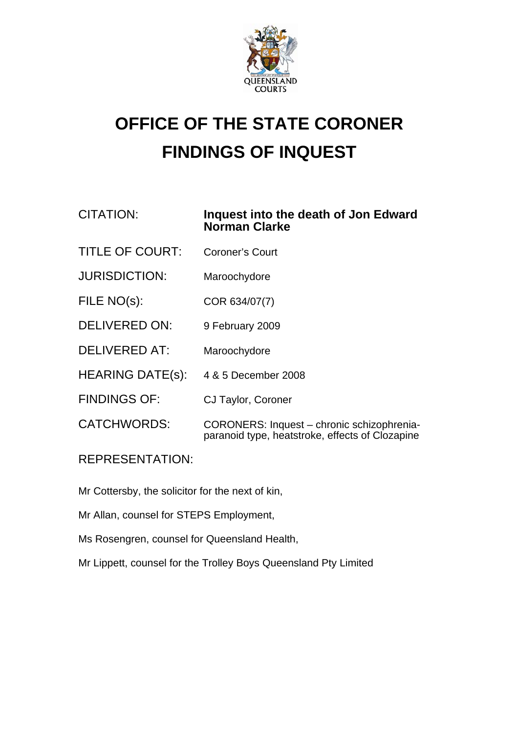

## **OFFICE OF THE STATE CORONER FINDINGS OF INQUEST**

## CITATION: **Inquest into the death of Jon Edward Norman Clarke**

- TITLE OF COURT: Coroner's Court
- JURISDICTION: Maroochydore
- FILE NO(s): COR 634/07(7)
- DELIVERED ON: 9 February 2009
- DELIVERED AT: Maroochydore
- HEARING DATE(s): 4 & 5 December 2008
- FINDINGS OF: CJ Taylor, Coroner
- CATCHWORDS: CORONERS: Inquest chronic schizophreniaparanoid type, heatstroke, effects of Clozapine

REPRESENTATION:

Mr Cottersby, the solicitor for the next of kin,

Mr Allan, counsel for STEPS Employment,

Ms Rosengren, counsel for Queensland Health,

Mr Lippett, counsel for the Trolley Boys Queensland Pty Limited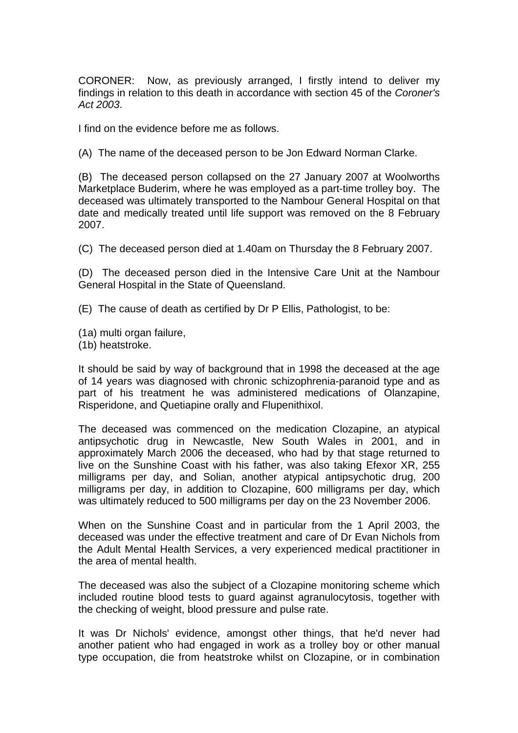CORONER: Now, as previously arranged, I firstly intend to deliver my findings in relation to this death in accordance with section 45 of the *Coroner's Act 2003*.

I find on the evidence before me as follows.

(A) The name of the deceased person to be Jon Edward Norman Clarke.

(B) The deceased person collapsed on the 27 January 2007 at Woolworths Marketplace Buderim, where he was employed as a part-time trolley boy. The deceased was ultimately transported to the Nambour General Hospital on that date and medically treated until life support was removed on the 8 February 2007.

(C) The deceased person died at 1.40am on Thursday the 8 February 2007.

(D) The deceased person died in the Intensive Care Unit at the Nambour General Hospital in the State of Queensland.

(E) The cause of death as certified by Dr P Ellis, Pathologist, to be:

(1a) multi organ failure,

(1b) heatstroke.

It should be said by way of background that in 1998 the deceased at the age of 14 years was diagnosed with chronic schizophrenia-paranoid type and as part of his treatment he was administered medications of Olanzapine, Risperidone, and Quetiapine orally and Flupenithixol.

The deceased was commenced on the medication Clozapine, an atypical antipsychotic drug in Newcastle, New South Wales in 2001, and in approximately March 2006 the deceased, who had by that stage returned to live on the Sunshine Coast with his father, was also taking Efexor XR, 255 milligrams per day, and Solian, another atypical antipsychotic drug, 200 milligrams per day, in addition to Clozapine, 600 milligrams per day, which was ultimately reduced to 500 milligrams per day on the 23 November 2006.

When on the Sunshine Coast and in particular from the 1 April 2003, the deceased was under the effective treatment and care of Dr Evan Nichols from the Adult Mental Health Services, a very experienced medical practitioner in the area of mental health.

The deceased was also the subject of a Clozapine monitoring scheme which included routine blood tests to guard against agranulocytosis, together with the checking of weight, blood pressure and pulse rate.

It was Dr Nichols' evidence, amongst other things, that he'd never had another patient who had engaged in work as a trolley boy or other manual type occupation, die from heatstroke whilst on Clozapine, or in combination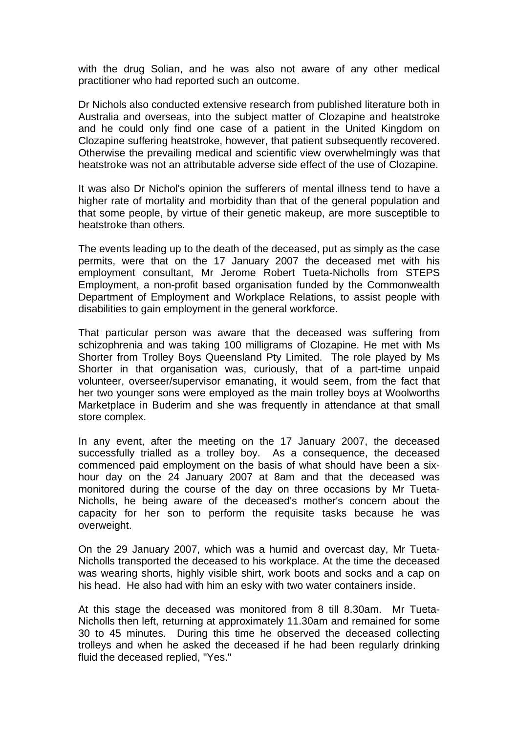with the drug Solian, and he was also not aware of any other medical practitioner who had reported such an outcome.

Dr Nichols also conducted extensive research from published literature both in Australia and overseas, into the subject matter of Clozapine and heatstroke and he could only find one case of a patient in the United Kingdom on Clozapine suffering heatstroke, however, that patient subsequently recovered. Otherwise the prevailing medical and scientific view overwhelmingly was that heatstroke was not an attributable adverse side effect of the use of Clozapine.

It was also Dr Nichol's opinion the sufferers of mental illness tend to have a higher rate of mortality and morbidity than that of the general population and that some people, by virtue of their genetic makeup, are more susceptible to heatstroke than others.

The events leading up to the death of the deceased, put as simply as the case permits, were that on the 17 January 2007 the deceased met with his employment consultant, Mr Jerome Robert Tueta-Nicholls from STEPS Employment, a non-profit based organisation funded by the Commonwealth Department of Employment and Workplace Relations, to assist people with disabilities to gain employment in the general workforce.

That particular person was aware that the deceased was suffering from schizophrenia and was taking 100 milligrams of Clozapine. He met with Ms Shorter from Trolley Boys Queensland Pty Limited. The role played by Ms Shorter in that organisation was, curiously, that of a part-time unpaid volunteer, overseer/supervisor emanating, it would seem, from the fact that her two younger sons were employed as the main trolley boys at Woolworths Marketplace in Buderim and she was frequently in attendance at that small store complex.

In any event, after the meeting on the 17 January 2007, the deceased successfully trialled as a trolley boy. As a consequence, the deceased commenced paid employment on the basis of what should have been a sixhour day on the 24 January 2007 at 8am and that the deceased was monitored during the course of the day on three occasions by Mr Tueta-Nicholls, he being aware of the deceased's mother's concern about the capacity for her son to perform the requisite tasks because he was overweight.

On the 29 January 2007, which was a humid and overcast day, Mr Tueta-Nicholls transported the deceased to his workplace. At the time the deceased was wearing shorts, highly visible shirt, work boots and socks and a cap on his head. He also had with him an esky with two water containers inside.

At this stage the deceased was monitored from 8 till 8.30am. Mr Tueta-Nicholls then left, returning at approximately 11.30am and remained for some 30 to 45 minutes. During this time he observed the deceased collecting trolleys and when he asked the deceased if he had been regularly drinking fluid the deceased replied, "Yes."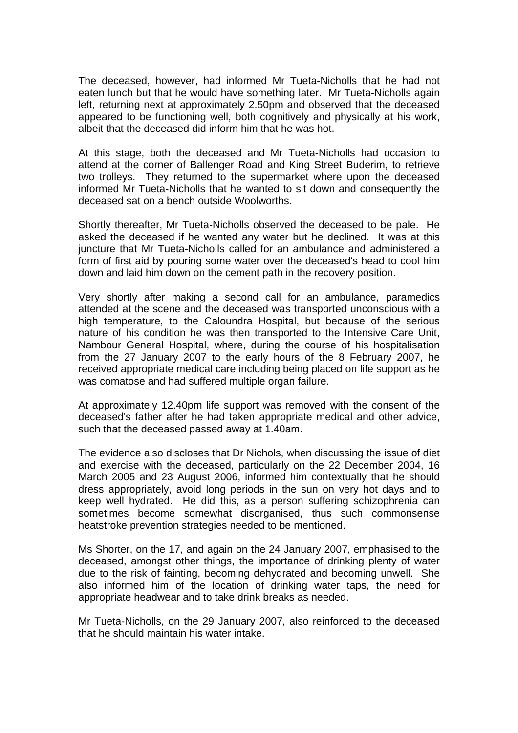The deceased, however, had informed Mr Tueta-Nicholls that he had not eaten lunch but that he would have something later. Mr Tueta-Nicholls again left, returning next at approximately 2.50pm and observed that the deceased appeared to be functioning well, both cognitively and physically at his work, albeit that the deceased did inform him that he was hot.

At this stage, both the deceased and Mr Tueta-Nicholls had occasion to attend at the corner of Ballenger Road and King Street Buderim, to retrieve two trolleys. They returned to the supermarket where upon the deceased informed Mr Tueta-Nicholls that he wanted to sit down and consequently the deceased sat on a bench outside Woolworths.

Shortly thereafter, Mr Tueta-Nicholls observed the deceased to be pale. He asked the deceased if he wanted any water but he declined. It was at this juncture that Mr Tueta-Nicholls called for an ambulance and administered a form of first aid by pouring some water over the deceased's head to cool him down and laid him down on the cement path in the recovery position.

Very shortly after making a second call for an ambulance, paramedics attended at the scene and the deceased was transported unconscious with a high temperature, to the Caloundra Hospital, but because of the serious nature of his condition he was then transported to the Intensive Care Unit, Nambour General Hospital, where, during the course of his hospitalisation from the 27 January 2007 to the early hours of the 8 February 2007, he received appropriate medical care including being placed on life support as he was comatose and had suffered multiple organ failure.

At approximately 12.40pm life support was removed with the consent of the deceased's father after he had taken appropriate medical and other advice, such that the deceased passed away at 1.40am.

The evidence also discloses that Dr Nichols, when discussing the issue of diet and exercise with the deceased, particularly on the 22 December 2004, 16 March 2005 and 23 August 2006, informed him contextually that he should dress appropriately, avoid long periods in the sun on very hot days and to keep well hydrated. He did this, as a person suffering schizophrenia can sometimes become somewhat disorganised, thus such commonsense heatstroke prevention strategies needed to be mentioned.

Ms Shorter, on the 17, and again on the 24 January 2007, emphasised to the deceased, amongst other things, the importance of drinking plenty of water due to the risk of fainting, becoming dehydrated and becoming unwell. She also informed him of the location of drinking water taps, the need for appropriate headwear and to take drink breaks as needed.

Mr Tueta-Nicholls, on the 29 January 2007, also reinforced to the deceased that he should maintain his water intake.